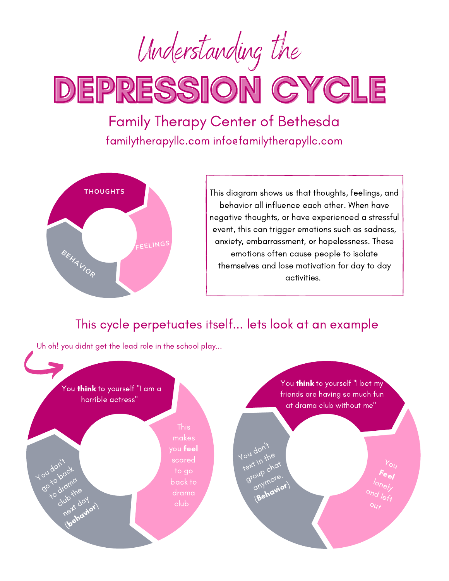Understanding the

DEPRESSION CYCLE

Family Therapy Center of Bethesda familytherapyllc.com info@familytherapyllc.com



This diagram shows us that thoughts, feelings, and behavior all influence each other. When have negative thoughts, or have experienced a stressful event, this can trigger emotions such as sadness, anxiety, embarrassment, or hopelessness. These emotions often cause people to isolate themselves and lose motivation for day to day activities.

## This cycle perpetuates itself... lets look at an example

Uh oh! you didnt get the lead role in the school play...

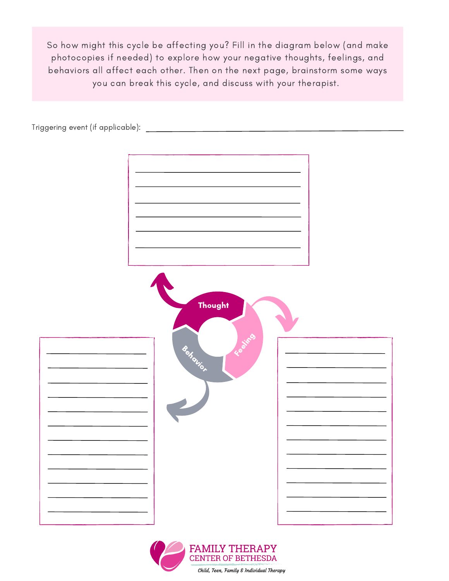So how might this cycle be affecting you? Fill in the diagram below (and make photocopies if needed) to explore how your negative thoughts, feelings, and behaviors all affect each other. Then on the next page, brainstorm some ways you can break this cycle, and discuss with your therapist.